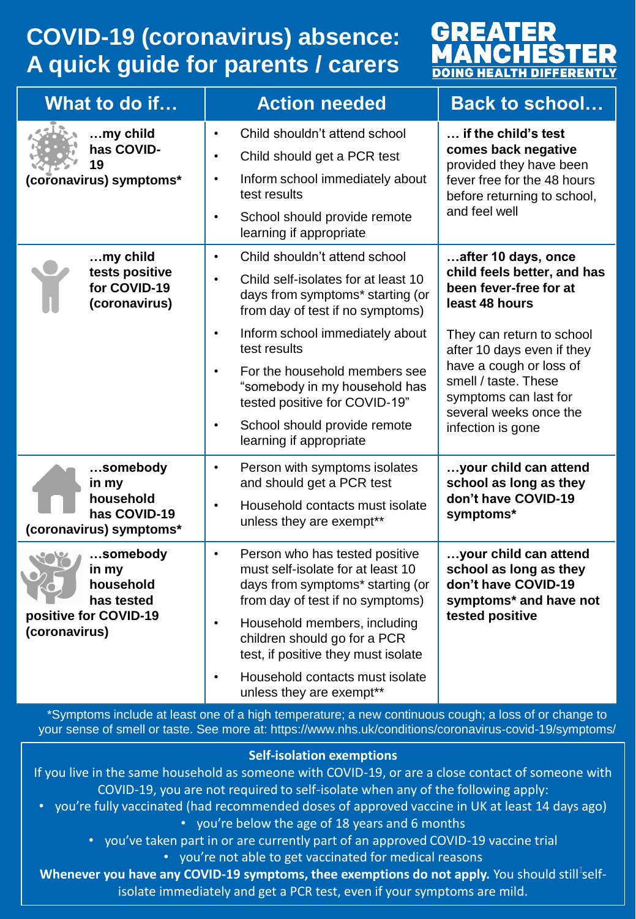## **COVID-19 (coronavirus) absence: A quick guide for parents / carers**



| What to do if                                                                          | <b>Action needed</b>                                                                                                                                                                                                                                                                                                                                                                                              | <b>Back to school</b>                                                                                                                                                                                                                                                                |
|----------------------------------------------------------------------------------------|-------------------------------------------------------------------------------------------------------------------------------------------------------------------------------------------------------------------------------------------------------------------------------------------------------------------------------------------------------------------------------------------------------------------|--------------------------------------------------------------------------------------------------------------------------------------------------------------------------------------------------------------------------------------------------------------------------------------|
| my child<br>has COVID-<br>19<br>(coronavirus) symptoms*                                | Child shouldn't attend school<br>$\bullet$<br>Child should get a PCR test<br>$\bullet$<br>Inform school immediately about<br>$\bullet$<br>test results<br>School should provide remote<br>$\bullet$<br>learning if appropriate                                                                                                                                                                                    | if the child's test<br>comes back negative<br>provided they have been<br>fever free for the 48 hours<br>before returning to school,<br>and feel well                                                                                                                                 |
| my child<br>tests positive<br>for COVID-19<br>(coronavirus)                            | Child shouldn't attend school<br>$\bullet$<br>Child self-isolates for at least 10<br>$\bullet$<br>days from symptoms* starting (or<br>from day of test if no symptoms)<br>Inform school immediately about<br>$\bullet$<br>test results<br>For the household members see<br>$\bullet$<br>"somebody in my household has<br>tested positive for COVID-19"<br>School should provide remote<br>learning if appropriate | after 10 days, once<br>child feels better, and has<br>been fever-free for at<br>least 48 hours<br>They can return to school<br>after 10 days even if they<br>have a cough or loss of<br>smell / taste. These<br>symptoms can last for<br>several weeks once the<br>infection is gone |
| somebody<br>in my<br>household<br>has COVID-19<br>(coronavirus) symptoms*              | Person with symptoms isolates<br>$\bullet$<br>and should get a PCR test<br>Household contacts must isolate<br>unless they are exempt**                                                                                                                                                                                                                                                                            | your child can attend<br>school as long as they<br>don't have COVID-19<br>symptoms*                                                                                                                                                                                                  |
| somebody<br>in my<br>household<br>has tested<br>positive for COVID-19<br>(coronavirus) | Person who has tested positive<br>$\bullet$<br>must self-isolate for at least 10<br>days from symptoms* starting (or<br>from day of test if no symptoms)<br>Household members, including<br>$\bullet$<br>children should go for a PCR<br>test, if positive they must isolate<br>Household contacts must isolate<br>$\bullet$<br>unless they are exempt**                                                          | your child can attend<br>school as long as they<br>don't have COVID-19<br>symptoms* and have not<br>tested positive                                                                                                                                                                  |

\*Symptoms include at least one of a high temperature; a new continuous cough; a loss of or change to your sense of smell or taste. See more at: https://www.nhs.uk/conditions/coronavirus-covid-19/symptoms/

## [nhs.uk/conditions/coronavirus-covid-19/symptoms](http://www.nhs.uk/conditions/coronavirus-covid-19/symptoms) **Self-isolation exemptions**

If you live in the same household as someone with COVID-19, or are a close contact of someone with COVID-19, you are not required to self-isolate when any of the following apply:

- you're fully vaccinated (had recommended doses of approved vaccine in UK at least 14 days ago) • you're below the age of 18 years and 6 months
	- you've taken part in or are currently part of an approved COVID-19 vaccine trial

• you're not able to get vaccinated for medical reasons

**Whenever you have any COVID-19 symptoms, thee exemptions do not apply.** You should still<sup>1</sup>selfisolate immediately and get a PCR test, even if your symptoms are mild.